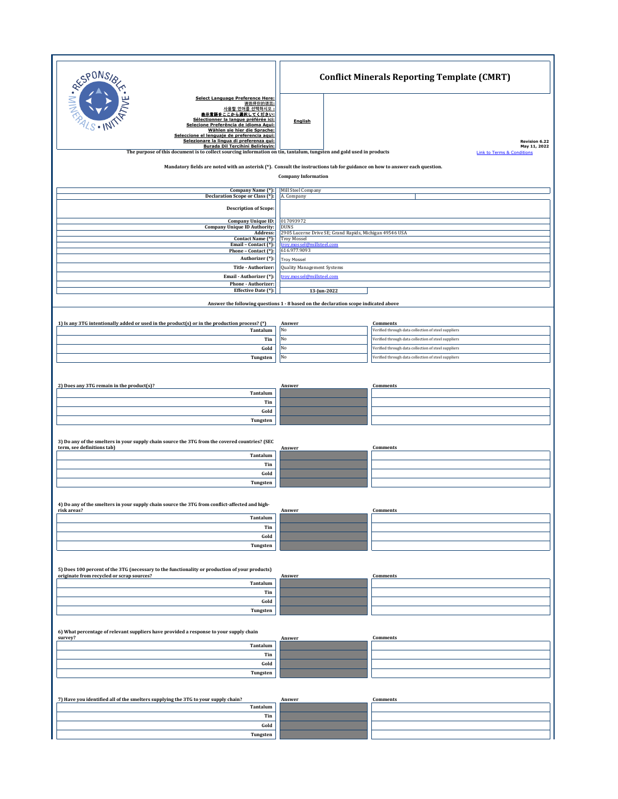| <b>PONS/8</b>                                                                                                                                                                                                                                                                                                                                   |                                                                                                                       | <b>Conflict Minerals Reporting Template (CMRT)</b> |                                                                                                            |  |  |
|-------------------------------------------------------------------------------------------------------------------------------------------------------------------------------------------------------------------------------------------------------------------------------------------------------------------------------------------------|-----------------------------------------------------------------------------------------------------------------------|----------------------------------------------------|------------------------------------------------------------------------------------------------------------|--|--|
| NIN. R<br>Select Language Preference Here:<br>请选择你的语言:<br>사용할 언어를 선택하시오 :<br>表示言語をここから選択してください:<br>Sélectionner la langue préférée ici:<br>Selecione Preferência de idioma Aqui:<br>Wählen sie hier die Sprache:<br>Seleccione el lenguaje de preferencia aqui:<br>Selezionare la lingua di preferenza qui:<br>Burada Dil Tercihini Belirlevin: | <b>English</b>                                                                                                        |                                                    | Revision 6.22<br>May 11, 2022                                                                              |  |  |
| The purpose of this document is to collect sourcing information on tin, tantalum, tungsten and gold used in products<br><b>Link to Terms &amp; Conditions</b>                                                                                                                                                                                   |                                                                                                                       |                                                    |                                                                                                            |  |  |
| Mandatory fields are noted with an asterisk (*). Consult the instructions tab for guidance on how to answer each question.<br><b>Company Information</b>                                                                                                                                                                                        |                                                                                                                       |                                                    |                                                                                                            |  |  |
| Company Name (*):                                                                                                                                                                                                                                                                                                                               | Mill Steel Company                                                                                                    |                                                    |                                                                                                            |  |  |
| Declaration Scope or Class (*):                                                                                                                                                                                                                                                                                                                 | A. Company                                                                                                            |                                                    |                                                                                                            |  |  |
| <b>Description of Scope:</b>                                                                                                                                                                                                                                                                                                                    |                                                                                                                       |                                                    |                                                                                                            |  |  |
| <b>Company Unique ID:</b><br><b>Company Unique ID Authority:</b>                                                                                                                                                                                                                                                                                | 017093972<br><b>DUNS</b>                                                                                              |                                                    |                                                                                                            |  |  |
| Address:<br>Contact Name (*):<br>Email - Contact (*):                                                                                                                                                                                                                                                                                           | 2905 Lucerne Drive SE; Grand Rapids, Michigan 49546 USA<br><b>Troy Mossel</b><br><b>dmillsteel.com</b><br>trov.mossel |                                                    |                                                                                                            |  |  |
| Phone - Contact (*):<br>Authorizer (*):                                                                                                                                                                                                                                                                                                         | 616.977.9093                                                                                                          |                                                    |                                                                                                            |  |  |
| Title - Authorizer:                                                                                                                                                                                                                                                                                                                             | Troy Mossel<br><b>Quality Management Systems</b>                                                                      |                                                    |                                                                                                            |  |  |
| Email - Authorizer (*):<br>Phone - Authorizer:                                                                                                                                                                                                                                                                                                  |                                                                                                                       | troy.mossel@millsteel.com                          |                                                                                                            |  |  |
| Effective Date (*):                                                                                                                                                                                                                                                                                                                             |                                                                                                                       | 13-Jun-2022                                        |                                                                                                            |  |  |
| Answer the following questions 1 - 8 based on the declaration scope indicated above                                                                                                                                                                                                                                                             |                                                                                                                       |                                                    |                                                                                                            |  |  |
| 1) Is any 3TG intentionally added or used in the product(s) or in the production process? (*)                                                                                                                                                                                                                                                   | Answer                                                                                                                |                                                    | Comments                                                                                                   |  |  |
| Tantalum                                                                                                                                                                                                                                                                                                                                        | No                                                                                                                    |                                                    | Verified through data collection of steel suppliers                                                        |  |  |
| Tin<br>Gold                                                                                                                                                                                                                                                                                                                                     | No<br>No                                                                                                              |                                                    | Verified through data collection of steel suppliers<br>Verified through data collection of steel suppliers |  |  |
| Tungsten                                                                                                                                                                                                                                                                                                                                        | No                                                                                                                    |                                                    | Verified through data collection of steel suppliers                                                        |  |  |
|                                                                                                                                                                                                                                                                                                                                                 |                                                                                                                       |                                                    |                                                                                                            |  |  |
| 2) Does any 3TG remain in the product(s)?                                                                                                                                                                                                                                                                                                       | Answer                                                                                                                |                                                    | <b>Comments</b>                                                                                            |  |  |
| Tantalum<br>Tin                                                                                                                                                                                                                                                                                                                                 |                                                                                                                       |                                                    |                                                                                                            |  |  |
| Gold                                                                                                                                                                                                                                                                                                                                            |                                                                                                                       |                                                    |                                                                                                            |  |  |
| Tungsten                                                                                                                                                                                                                                                                                                                                        |                                                                                                                       |                                                    |                                                                                                            |  |  |
| 3) Do any of the smelters in your supply chain source the 3TG from the covered countries? (SEC<br>term, see definitions tab)                                                                                                                                                                                                                    |                                                                                                                       |                                                    | Comments                                                                                                   |  |  |
| Tantalum                                                                                                                                                                                                                                                                                                                                        | Answer                                                                                                                |                                                    |                                                                                                            |  |  |
| Tin<br>Gold                                                                                                                                                                                                                                                                                                                                     |                                                                                                                       |                                                    |                                                                                                            |  |  |
| Tungsten                                                                                                                                                                                                                                                                                                                                        |                                                                                                                       |                                                    |                                                                                                            |  |  |
|                                                                                                                                                                                                                                                                                                                                                 |                                                                                                                       |                                                    |                                                                                                            |  |  |
| 4) Do any of the smelters in your supply chain source the 3TG from conflict-affected and high-<br>risk areas?                                                                                                                                                                                                                                   | Answer                                                                                                                |                                                    | <b>Comments</b>                                                                                            |  |  |
| Tantalum<br>Tin                                                                                                                                                                                                                                                                                                                                 |                                                                                                                       |                                                    |                                                                                                            |  |  |
| Gold                                                                                                                                                                                                                                                                                                                                            |                                                                                                                       |                                                    |                                                                                                            |  |  |
| Tungsten                                                                                                                                                                                                                                                                                                                                        |                                                                                                                       |                                                    |                                                                                                            |  |  |
| 5) Does 100 percent of the 3TG (necessary to the functionality or production of your products)                                                                                                                                                                                                                                                  |                                                                                                                       |                                                    |                                                                                                            |  |  |
| originate from recycled or scrap sources?<br>Tantalum                                                                                                                                                                                                                                                                                           | Answer                                                                                                                |                                                    | Comments                                                                                                   |  |  |
| Tin                                                                                                                                                                                                                                                                                                                                             |                                                                                                                       |                                                    |                                                                                                            |  |  |
| Gold                                                                                                                                                                                                                                                                                                                                            |                                                                                                                       |                                                    |                                                                                                            |  |  |
| Tungsten                                                                                                                                                                                                                                                                                                                                        |                                                                                                                       |                                                    |                                                                                                            |  |  |
| 6) What percentage of relevant suppliers have provided a response to your supply chain                                                                                                                                                                                                                                                          |                                                                                                                       |                                                    |                                                                                                            |  |  |
| survey?<br>Tantalum                                                                                                                                                                                                                                                                                                                             | Answer                                                                                                                |                                                    | Comments                                                                                                   |  |  |
| Tin                                                                                                                                                                                                                                                                                                                                             |                                                                                                                       |                                                    |                                                                                                            |  |  |
| Gold<br>Tungsten                                                                                                                                                                                                                                                                                                                                |                                                                                                                       |                                                    |                                                                                                            |  |  |
|                                                                                                                                                                                                                                                                                                                                                 |                                                                                                                       |                                                    |                                                                                                            |  |  |
| 7) Have you identified all of the smelters supplying the 3TG to your supply chain?                                                                                                                                                                                                                                                              | Answer                                                                                                                |                                                    | Comments                                                                                                   |  |  |
| Tantalum<br>Tin                                                                                                                                                                                                                                                                                                                                 |                                                                                                                       |                                                    |                                                                                                            |  |  |
| Gold                                                                                                                                                                                                                                                                                                                                            |                                                                                                                       |                                                    |                                                                                                            |  |  |
| Tungsten                                                                                                                                                                                                                                                                                                                                        |                                                                                                                       |                                                    |                                                                                                            |  |  |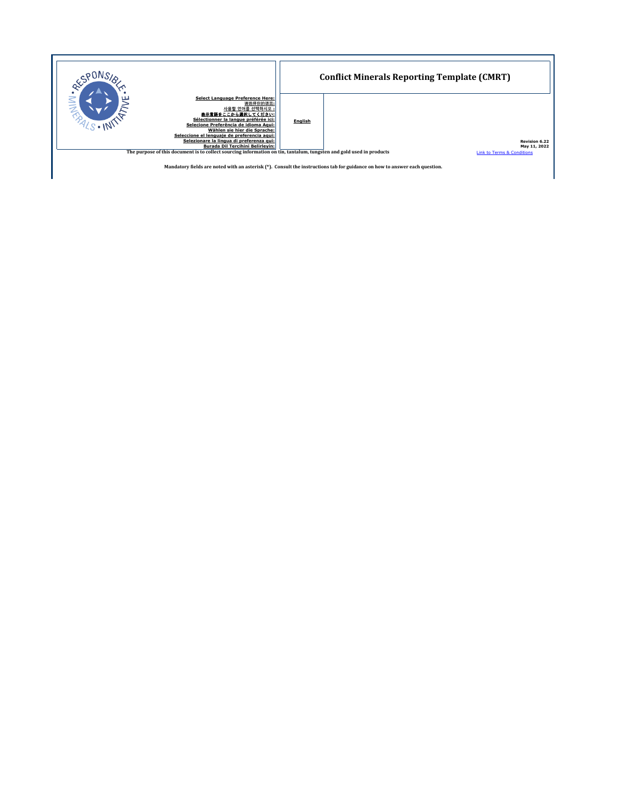

**Mandatory fields are noted with an asterisk (\*). Consult the instructions tab for guidance on how to answer each question.**